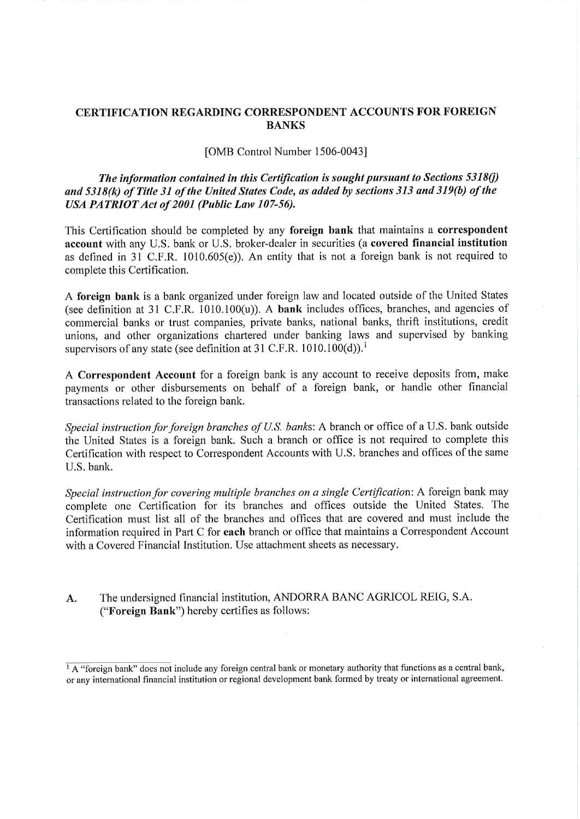# CERTIFICATION REGARDING CORRESPONDENT ACCOUNTS FOR FOREIGN BANKS

### [OMB Control Number 1506-0043]

The information contained in this Certification is sought pursuant to Sections  $5318(j)$ and 5318(k) of Title 31 of the United States Code, as added by sections 313 and 319(b) of the USA PATRIOT Act of 2001 (Public Law 107-56).

This Certification should be completed by any foreign bank that maintains a correspondent account with any U.S. bank or U.S. broker-dealer in securities (a covered financial institution as defined in 31 C.F.R. 1010.605(e)). An entity that is not a foreign bank is not required to complete this Certification.

A foreign bank is a bank organized under foreign law and located outside of the United States (see definition at 31 C.F.R. 1010.100(u)). A bank ineludes offices, branches, and agencies of commercial banks or trust companies, prívate banks, national banks, thrift institutions, credit unions, and other organizations chartered under banking laws and supervised by banking supervisors of any state (see definition at 31 C.F.R. 1010.100(d)).<sup>1</sup>

A Correspondent Account for a foreign bank is any account to receive deposits from, make payments or other disbursements on behalf of a foreign bank, or handle other Financial transactions related to the foreign bank.

Special instruction for foreign branches of U.S. banks: A branch or office of a U.S. bank outside the United States is a foreign bank. Such a branch or office is not required to complete this Certification with respect to Correspondent Accounts with U.S. branches and offices of the same U.S. bank.

Special instruction for covering multiple branches on a single Certification: A foreign bank may complete one Certification for its branches and offices outside the United States. The Certification must list all of the branches and offices that are covered and must inelude the information required in Part C for each branch or office that maintains a Correspondent Account with a Covered Financial Institution. Use attachment sheets as necessary.

A. The undersigned financial institution, ANDORRA BANC AGRICOL REIG, S.A. ("Foreign Bank") hereby certifies as follows:

 $\frac{1}{1}$  A "foreign bank" does not include any foreign central bank or monetary authority that functions as a central bank, or any international financia institution or regional development bank formed by treaty or international agreement.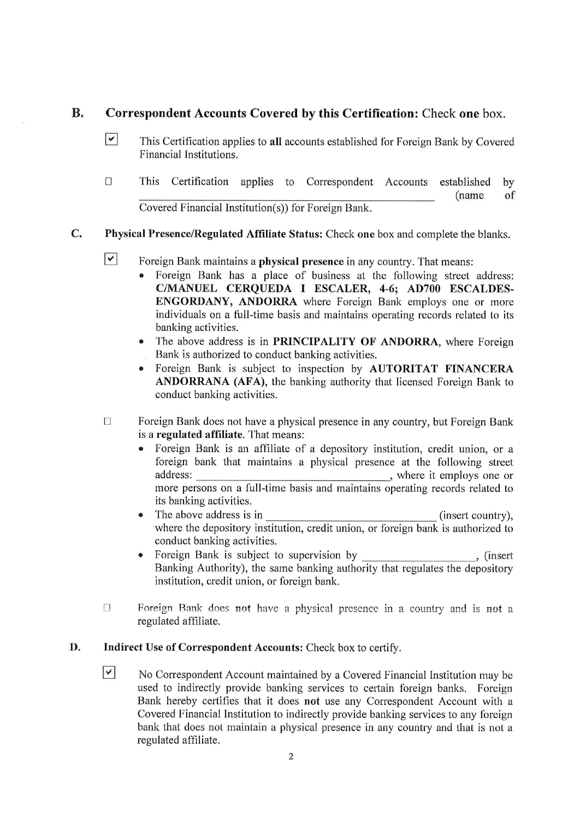#### $\mathbf{R}$ . Correspondent Accounts Covered by this Certifícation: Check one box.

- $\Box$  This Certification applies to all accounts established for Foreign Bank by Covered Financial Institutions.
- $\Box$ This Certifícation applies to Correspondent Accounts established by (ñame of Covered Financial Institution(s)) for Foreign Bank.

#### $\mathbf{C}$ . Physical Presence/Regulated Affíliate Status: Check one box and complete the blanks.

- $\vert\mathbf{v}\vert$ Foreign Bank maintains a physical presence in any country. That means:
	- Foreign Bank has a place of business at the following street address: C/MANUEL CERQUEDA I ESCALER, 4-6; AD700 ESCALDES-ENGORDANY, ANDORRA where Foreign Bank employs one or more individuals on a full-time basis and maintains operating records related to its banking activities.
	- The above address is in PRINCIPALITY OF ANDORRA, where Foreign Bank is authorized to conduct banking activities.
	- Foreign Bank is subject to inspection by AUTORITAT FINANCERA ANDORRANA (AFA), the banking authority that licensed Foreign Bank to conduct banking activities.
- $\Box$ Foreign Bank does not have a physical presence in any country, but Foreign Bank is a regulated affíliate. That means:
	- Foreign Bank is an affíliate of a depository institution, credit unión, or a foreign bank that maintains a physical presence at the following Street address: , where it employs one or more persons on a full-time basis and maintains operating records related to its banking activities.
	- The above address is in (insert country), where the depository institution, credit union, or foreign bank is authorized to conduct banking activities.
	- Foreign Bank is subject to supervision by (insert), (insert Banking Authority), the same banking authority that regulates the depository institution, credit union, or foreign bank.
- $\Box$ Foreign Bank does not have a physical presence in a country and is not a regulated affíliate.

#### D. Indirect Use of Correspondent Accounts: Check box to certiíy.

 $\vee$  No Correspondent Account maintained by a Covered Financial Institution may be used to indirectly provide banking services to certain foreign banks. Foreign Bank hereby certifies that it does not use any Correspondent Account with a Covered Financial Institution to indirectly provide banking services to any foreign bank that does not maintain a physical presence in any country and that is not a regulated affíliate.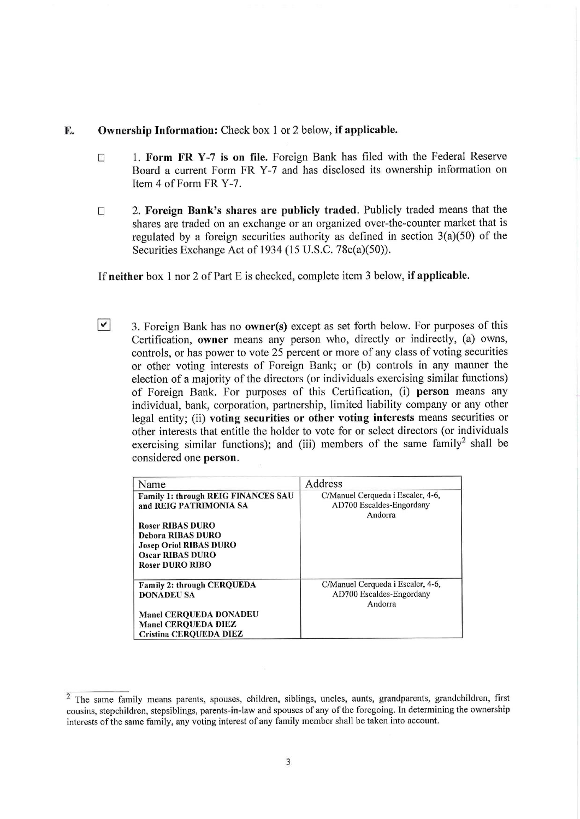### E. Ownership Information: Check box 1 or 2 below, if applicable.

- $\Box$ 1. Form FR Y-7 is on file. Foreign Bank has fíled with the Federal Reserve Board a current Form FR Y-7 and has disclosed its ownership information on Item 4 of Form FR Y-7.
- 2. Foreign Bank's shares are publicly traded. Publicly traded means that the  $\Box$ shares are traded on an exchange or an organized over-the-counter market that is regulated by a foreign securities authority as defíned in section 3(a)(50) of the Securities Exchange Act of 1934 (15 U.S.C. 78c(a)(50)).

If neither box 1 nor 2 of Part E is checked, complete item 3 below, if applicable.

 $\triangleright$  3. Foreign Bank has no **owner(s)** except as set forth below. For purposes of this Certification, owner means any person who, directly or indirectly, (a) owns, controls, or has power to vote 25 percent or more of any class of voting securities or other voting interests of Foreign Bank; or (b) Controls in any manner the election of a majority of the directors (or individuals exercising similar functions) of Foreign Bank. For purposes of this Certifícation, (i) person means any individual, bank, Corporation, partnership, limited liability company or any other legal entity; (ii) voting securities or other voting interests means securities or other interests that entitle the holder to vote for or select directors (or individuáis exercising similar functions); and (iii) members of the same family<sup>2</sup> shall be considered one person.

| Name                                                                                                                                            | Address                                                                  |
|-------------------------------------------------------------------------------------------------------------------------------------------------|--------------------------------------------------------------------------|
| Family 1: through REIG FINANCES SAU<br>and REIG PATRIMONIA SA                                                                                   | C/Manuel Cerqueda i Escaler, 4-6,<br>AD700 Escaldes-Engordany<br>Andorra |
| <b>Roser RIBAS DURO</b><br><b>Debora RIBAS DURO</b><br><b>Josep Oriol RIBAS DURO</b><br><b>Oscar RIBAS DURO</b><br><b>Roser DURO RIBO</b>       |                                                                          |
| Family 2: through CERQUEDA<br><b>DONADEU SA</b><br><b>Manel CEROUEDA DONADEU</b><br><b>Manel CEROUEDA DIEZ</b><br><b>Cristina CEROUEDA DIEZ</b> | C/Manuel Cerqueda i Escaler, 4-6,<br>AD700 Escaldes-Engordany<br>Andorra |

<sup>&</sup>lt;sup>2</sup> The same family means parents, spouses, children, siblings, uncles, aunts, grandparents, grandchildren, first cousins, stepchildren, stepsiblings, parents-in-law and spouses of any of the foregoing. In determining the ownership interests of the same family, any voting interest of any family member shall be taken into account.